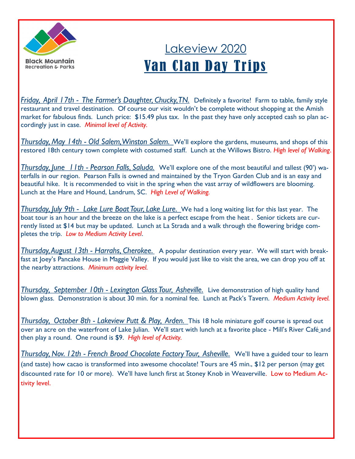

## Lakeview 2020 Van Clan Day Trips

*Friday, April 17th - The Farmer's Daughter, Chucky, TN.* Definitely a favorite! Farm to table, family style restaurant and travel destination. Of course our visit wouldn't be complete without shopping at the Amish market for fabulous finds. Lunch price: \$15.49 plus tax. In the past they have only accepted cash so plan accordingly just in case. *Minimal level of Activity.*

*Thursday, May 14th - Old Salem, Winston Salem.* We'll explore the gardens, museums, and shops of this restored 18th century town complete with costumed staff. Lunch at the Willows Bistro. *High level of Walking*.

*Thursday, June 11th - Pearson Falls, Saluda.* We'll explore one of the most beautiful and tallest (90') waterfalls in our region. Pearson Falls is owned and maintained by the Tryon Garden Club and is an easy and beautiful hike. It is recommended to visit in the spring when the vast array of wildflowers are blooming. Lunch at the Hare and Hound, Landrum, SC. *High Level of Walking.*

*Thursday, July 9th - Lake Lure Boat Tour, Lake Lure.* We had a long waiting list for this last year. The boat tour is an hour and the breeze on the lake is a perfect escape from the heat . Senior tickets are currently listed at \$14 but may be updated. Lunch at La Strada and a walk through the flowering bridge completes the trip. *Low to Medium Activity Level*.

*Thursday, August 13th - Harrahs, Cherokee.* A popular destination every year. We will start with breakfast at Joey's Pancake House in Maggie Valley. If you would just like to visit the area, we can drop you off at the nearby attractions. *Minimum activity level.*

*Thursday, September 10th - Lexington Glass Tour, Asheville.* Live demonstration of high quality hand blown glass. Demonstration is about 30 min. for a nominal fee. Lunch at Pack's Tavern. *Medium Activity level.*

*Thursday, October 8th - Lakeview Putt & Play, Arden.* This 18 hole miniature golf course is spread out over an acre on the waterfront of Lake Julian. We'll start with lunch at a favorite place - Mill's River Café and then play a round. One round is \$9. *High level of Activity.*

*Thursday, Nov. 12th - French Broad Chocolate Factory Tour, Asheville.* We'll have a guided tour to learn (and taste) how cacao is transformed into awesome chocolate! Tours are 45 min., \$12 per person (may get discounted rate for 10 or more). We'll have lunch first at Stoney Knob in Weaverville. Low to Medium Activity level.